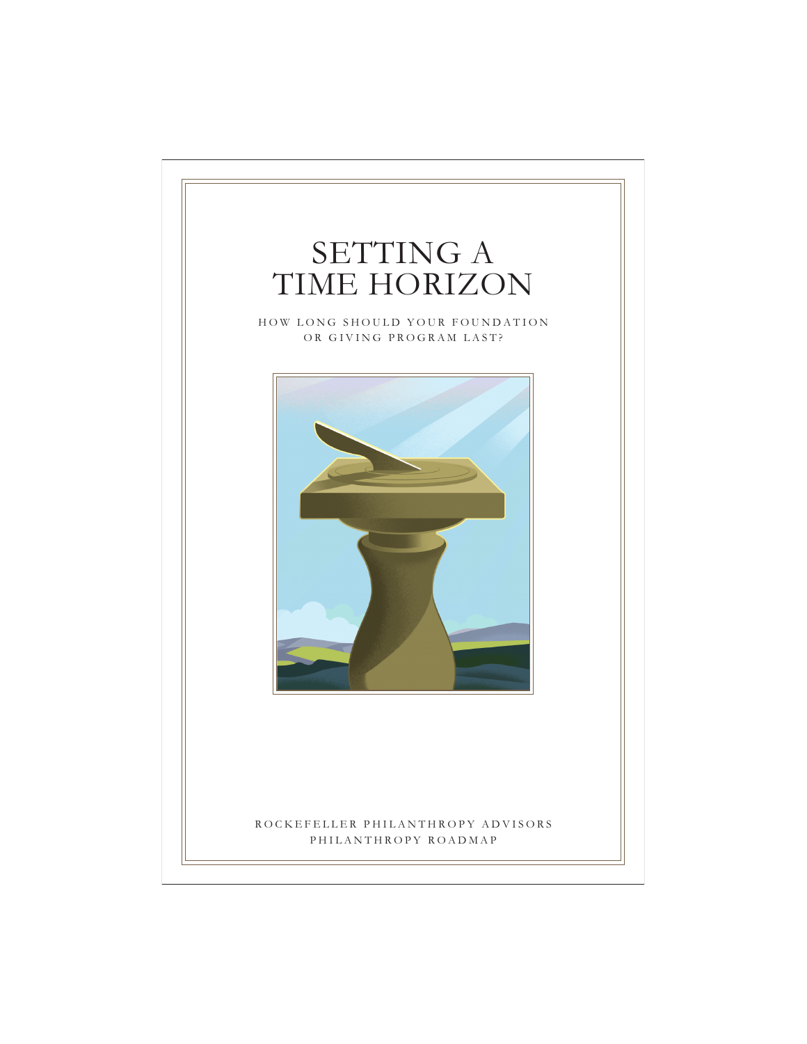# SETTING A TIME HORIZON

HOW LONG SHOULD YOUR FOUNDATION OR GIVING PROGRAM LAST?



## ROCKEFELLER PHILANTHROPY ADVISORS PHILANTHROPY ROADMAP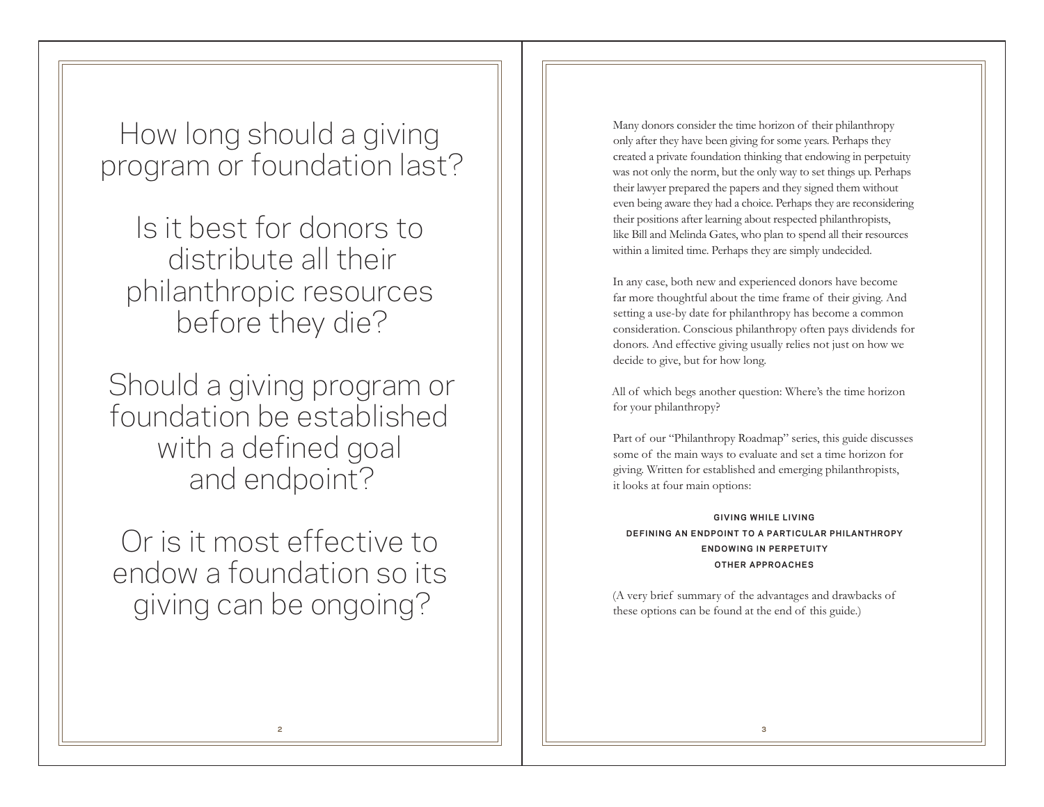How long should a giving program or foundation last?

Is it best for donors to distribute all their philanthropic resources before they die?

Should a giving program or foundation be established with a defined goal and endpoint?

Or is it most effective to endow a foundation so its giving can be ongoing?

Many donors consider the time horizon of their philanthropy only after they have been giving for some years. Perhaps they created a private foundation thinking that endowing in perpetuity was not only the norm, but the only way to set things up. Perhaps their lawyer prepared the papers and they signed them without even being aware they had a choice. Perhaps they are reconsidering their positions after learning about respected philanthropists, like Bill and Melinda Gates, who plan to spend all their resources within a limited time. Perhaps they are simply undecided.

In any case, both new and experienced donors have become far more thoughtful about the time frame of their giving. And setting a use-by date for philanthropy has become a common consideration. Conscious philanthropy often pays dividends for donors. And effective giving usually relies not just on how we decide to give, but for how long.

All of which begs another question: Where's the time horizon for your philanthropy?

Part of our "Philanthropy Roadmap" series, this guide discusses some of the main ways to evaluate and set a time horizon for giving. Written for established and emerging philanthropists, it looks at four main options:

 $G$  *IVING WHILE LIVING* **DEF IN ING AN ENDPO INT TO A PART ICULAR PH ILANTHROPY ENDOWING IN PERPETUITY OTHER APPROACHES** 

(A very brief summary of the advantages and drawbacks of these options can be found at the end of this guide.)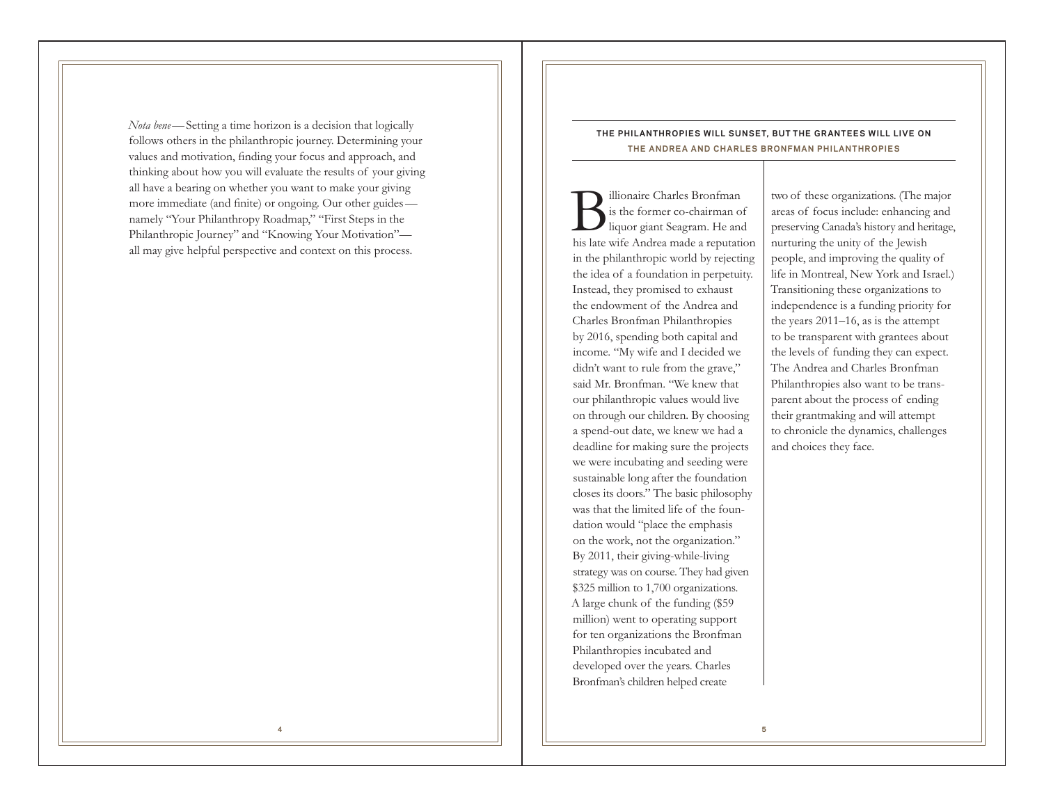*Nota bene*—Setting a time horizon is a decision that logically follows others in the philanthropic journey. Determining your values and motivation, finding your focus and approach, and thinking about how you will evaluate the results of your giving all have a bearing on whether you want to make your giving more immediate (and finite) or ongoing. Our other guides namely "Your Philanthropy Roadmap," "First Steps in the Philanthropic Journey" and "Knowing Your Motivation" all may give helpful perspective and context on this process.

## **THE PHILANTHROPIES WILL SUNSET, BUT THE GRANTEES WILL LIVE ON THE ANDREA AND CHARLES BRONFMAN PHILANTHROPIES**

illionaire Charles Bronfman<br>is the former co-chairman of<br>liquor giant Seagram. He and his late wife Andrea made a reputation in the philanthropic world by rejecting the idea of a foundation in perpetuity. Instead, they promised to exhaust the endowment of the Andrea and Charles Bronfman Philanthropies by 2016, spending both capital and income. "My wife and I decided we didn't want to rule from the grave," said Mr. Bronfman. "We knew that our philanthropic values would live on through our children. By choosing a spend-out date, we knew we had a deadline for making sure the projects we were incubating and seeding were sustainable long after the foundation closes its doors." The basic philosophy was that the limited life of the foundation would "place the emphasis on the work, not the organization." By 2011, their giving-while-living strategy was on course. They had given \$325 million to 1,700 organizations. A large chunk of the funding (\$59 million) went to operating support for ten organizations the Bronfman Philanthropies incubated and developed over the years. Charles Bronfman's children helped create

two of these organizations. (The major areas of focus include: enhancing and preserving Canada's history and heritage, nurturing the unity of the Jewish people, and improving the quality of life in Montreal, New York and Israel.) Transitioning these organizations to independence is a funding priority for the years 2011–16, as is the attempt to be transparent with grantees about the levels of funding they can expect. The Andrea and Charles Bronfman Philanthropies also want to be transparent about the process of ending their grantmaking and will attempt to chronicle the dynamics, challenges and choices they face.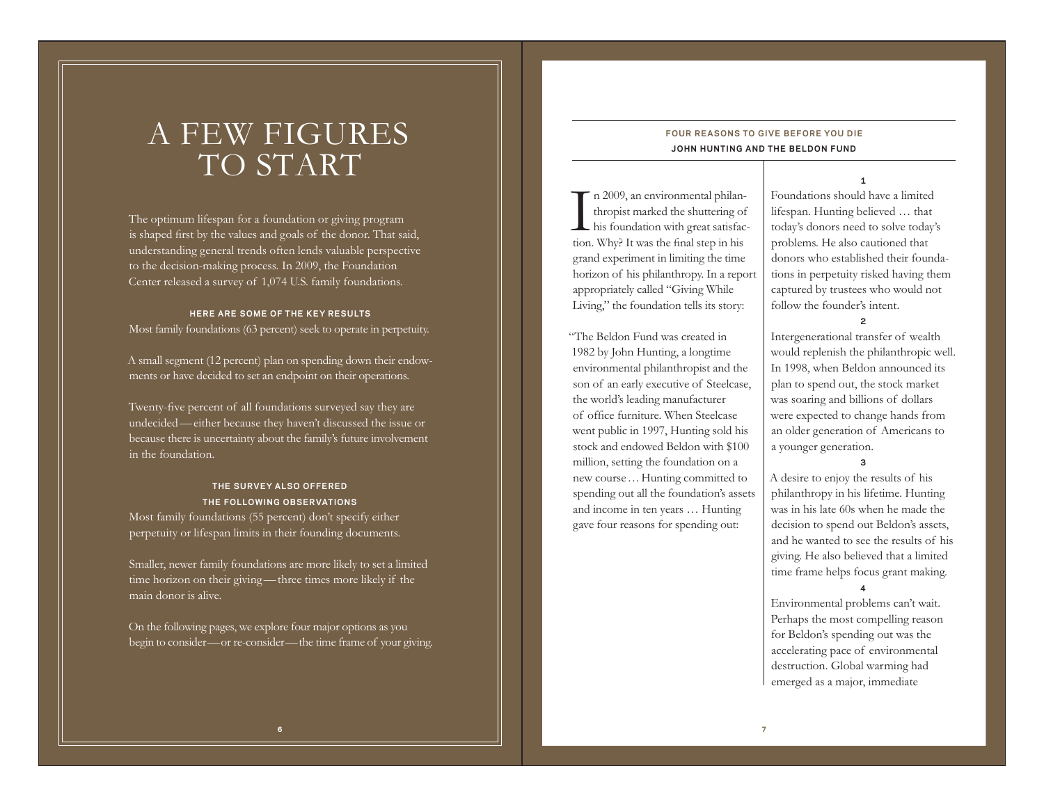# A FEW FIGURES TO START

The optimum lifespan for a foundation or giving program is shaped first by the values and goals of the donor. That said, understanding general trends often lends valuable perspective to the decision-making process. In 2009, the Foundation Center released a survey of 1,074 U.S. family foundations.

## **HERE ARE SOME OF THE KEY RESULTS**

Most family foundations (63 percent) seek to operate in perpetuity.

A small segment (12 percent) plan on spending down their endowments or have decided to set an endpoint on their operations.

Twenty-five percent of all foundations surveyed say they are undecided —either because they haven't discussed the issue or because there is uncertainty about the family's future involvement in the foundation.

## **THE SURVEY ALSO OFFERED THE FOLLOWING OBSERVATIONS**

Most family foundations (55 percent) don't specify either perpetuity or lifespan limits in their founding documents.

Smaller, newer family foundations are more likely to set a limited time horizon on their giving —three times more likely if the main donor is alive.

On the following pages, we explore four major options as you begin to consider—or re-consider—the time frame of your giving.

## **FOUR REASONS TO GIVE BEFORE YOU DIE JOHN HUNTING AND THE BELDON FUND**

In 2009, an environmental philan-<br>thropist marked the shuttering of<br>his foundation with great satisfaction. Why? It was the final step in his grand experiment in limiting the time horizon of his philanthropy. In a report appropriately called "Giving While Living," the foundation tells its story:

"The Beldon Fund was created in 1982 by John Hunting, a longtime environmental philanthropist and the son of an early executive of Steelcase, the world's leading manufacturer of office furniture. When Steelcase went public in 1997, Hunting sold his stock and endowed Beldon with \$100 million, setting the foundation on a new course …Hunting committed to spending out all the foundation's assets and income in ten years … Hunting gave four reasons for spending out:

Foundations should have a limited lifespan. Hunting believed … that today's donors need to solve today's problems. He also cautioned that donors who established their foundations in perpetuity risked having them captured by trustees who would not follow the founder's intent.

**1**

#### **2**

Intergenerational transfer of wealth would replenish the philanthropic well. In 1998, when Beldon announced its plan to spend out, the stock market was soaring and billions of dollars were expected to change hands from an older generation of Americans to a younger generation.

**3**

A desire to enjoy the results of his philanthropy in his lifetime. Hunting was in his late 60s when he made the decision to spend out Beldon's assets, and he wanted to see the results of his giving. He also believed that a limited time frame helps focus grant making.

**4**

Environmental problems can't wait. Perhaps the most compelling reason for Beldon's spending out was the accelerating pace of environmental destruction. Global warming had emerged as a major, immediate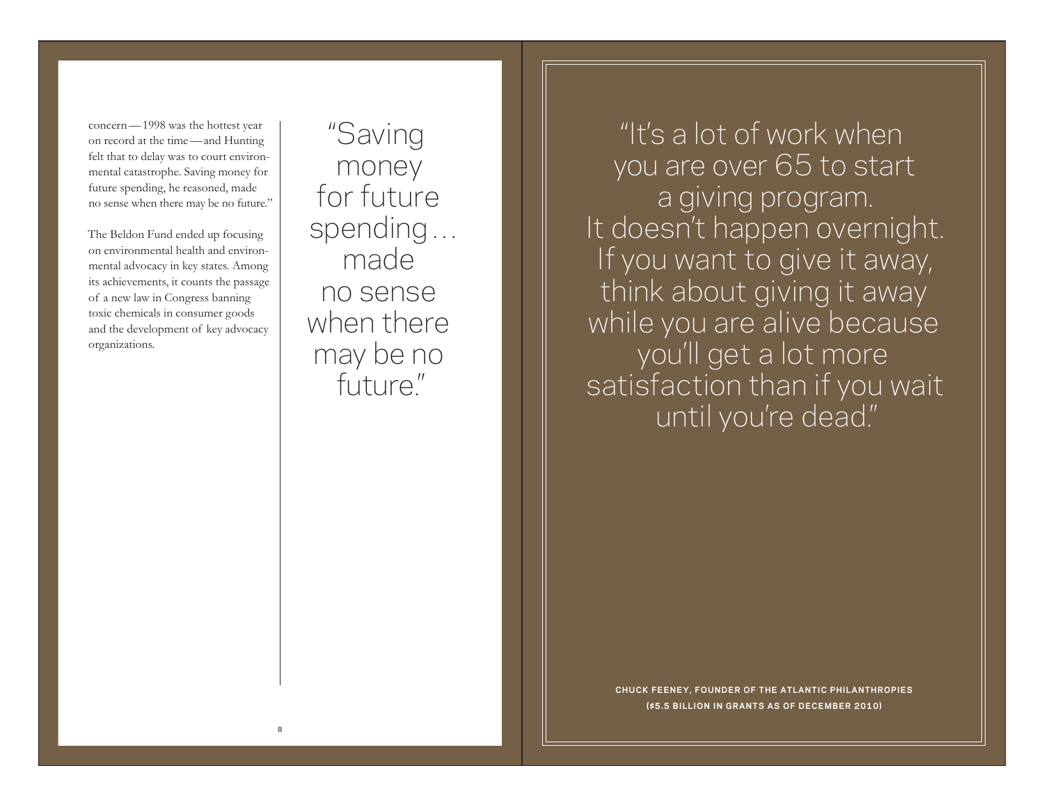concern—1998 was the hottest year on record at the time—and Hunting felt that to delay was to court environmental catastrophe. Saving money for future spending, he reasoned, made no sense when there may be no future."

The Beldon Fund ended up focusing on environmental health and environmental advocacy in key states. Among its achievements, it counts the passage of a new law in Congress banning toxic chemicals in consumer goods and the development of key advocacy organizations.

"Saving money for future spending … made no sense when there may be no future."

"It's a lot of work when you are over 65 to start a giving program. It doesn't happen overnight. If you want to give it away, think about giving it away while you are alive because you'll get a lot more satisfaction than if you wait until you're dead."

**CHUCK FEENEY, FOUNDER OF THE ATLANT IC PH ILANTHROP IES (\$5.5 BILLION IN GRANTS AS OF DECEMBER 2010)**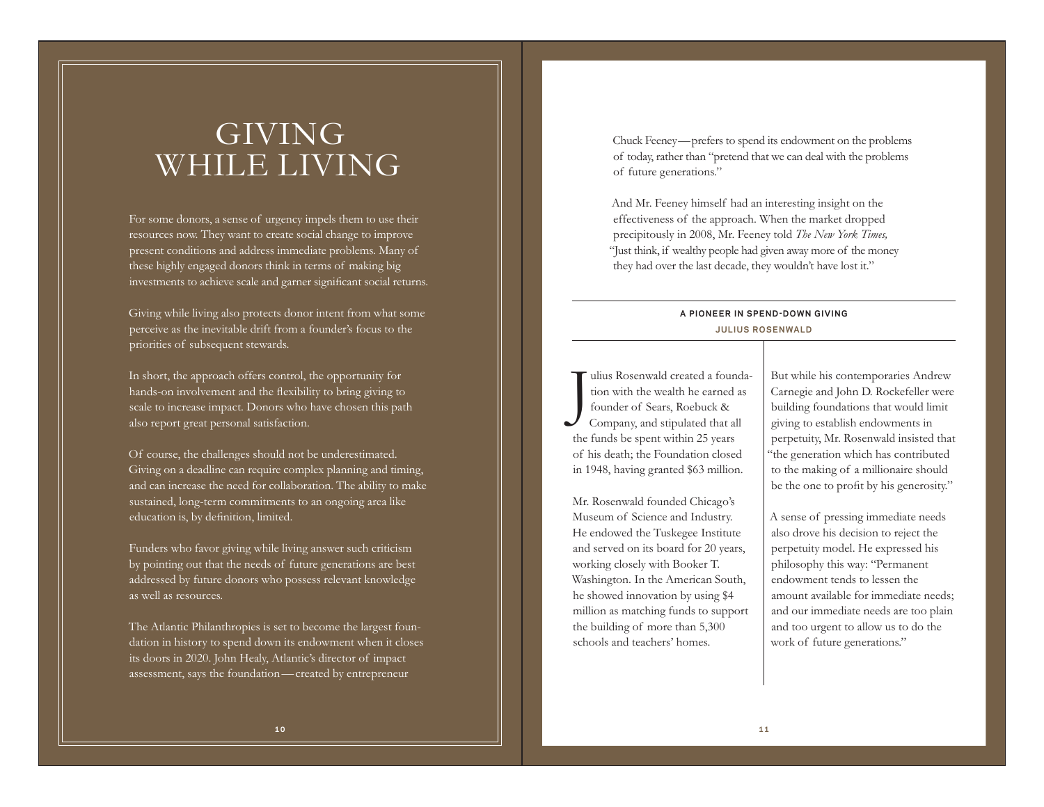# GIVING WHILE LIVING

For some donors, a sense of urgency impels them to use their resources now. They want to create social change to improve present conditions and address immediate problems. Many of these highly engaged donors think in terms of making big investments to achieve scale and garner significant social returns.

Giving while living also protects donor intent from what some perceive as the inevitable drift from a founder's focus to the priorities of subsequent stewards.

In short, the approach offers control, the opportunity for hands-on involvement and the flexibility to bring giving to scale to increase impact. Donors who have chosen this path also report great personal satisfaction.

Of course, the challenges should not be underestimated. Giving on a deadline can require complex planning and timing, and can increase the need for collaboration. The ability to make sustained, long-term commitments to an ongoing area like education is, by definition, limited.

Funders who favor giving while living answer such criticism by pointing out that the needs of future generations are best addressed by future donors who possess relevant knowledge as well as resources.

The Atlantic Philanthropies is set to become the largest foundation in history to spend down its endowment when it closes its doors in 2020. John Healy, Atlantic's director of impact assessment, says the foundation—created by entrepreneur

Chuck Feeney—prefers to spend its endowment on the problems of today, rather than "pretend that we can deal with the problems of future generations."

And Mr. Feeney himself had an interesting insight on the effectiveness of the approach. When the market dropped precipitously in 2008, Mr. Feeney told *The New York Times,* "Just think, if wealthy people had given away more of the money they had over the last decade, they wouldn't have lost it."

## **A PIONEER IN SPEND-DOWN GIVING JUL IUS ROSENWALD**

ulius Rosenwald created a founda-<br>tion with the wealth he earned as<br>founder of Sears, Roebuck &<br>Company, and stipulated that all the funds be spent within 25 years of his death; the Foundation closed in 1948, having granted \$63 million.

Mr. Rosenwald founded Chicago's Museum of Science and Industry. He endowed the Tuskegee Institute and served on its board for 20 years, working closely with Booker T. Washington. In the American South, he showed innovation by using \$4 million as matching funds to support the building of more than 5,300 schools and teachers' homes.

But while his contemporaries Andrew Carnegie and John D. Rockefeller were building foundations that would limit giving to establish endowments in perpetuity, Mr. Rosenwald insisted that "the generation which has contributed to the making of a millionaire should be the one to profit by his generosity."

A sense of pressing immediate needs also drove his decision to reject the perpetuity model. He expressed his philosophy this way: "Permanent endowment tends to lessen the amount available for immediate needs; and our immediate needs are too plain and too urgent to allow us to do the work of future generations."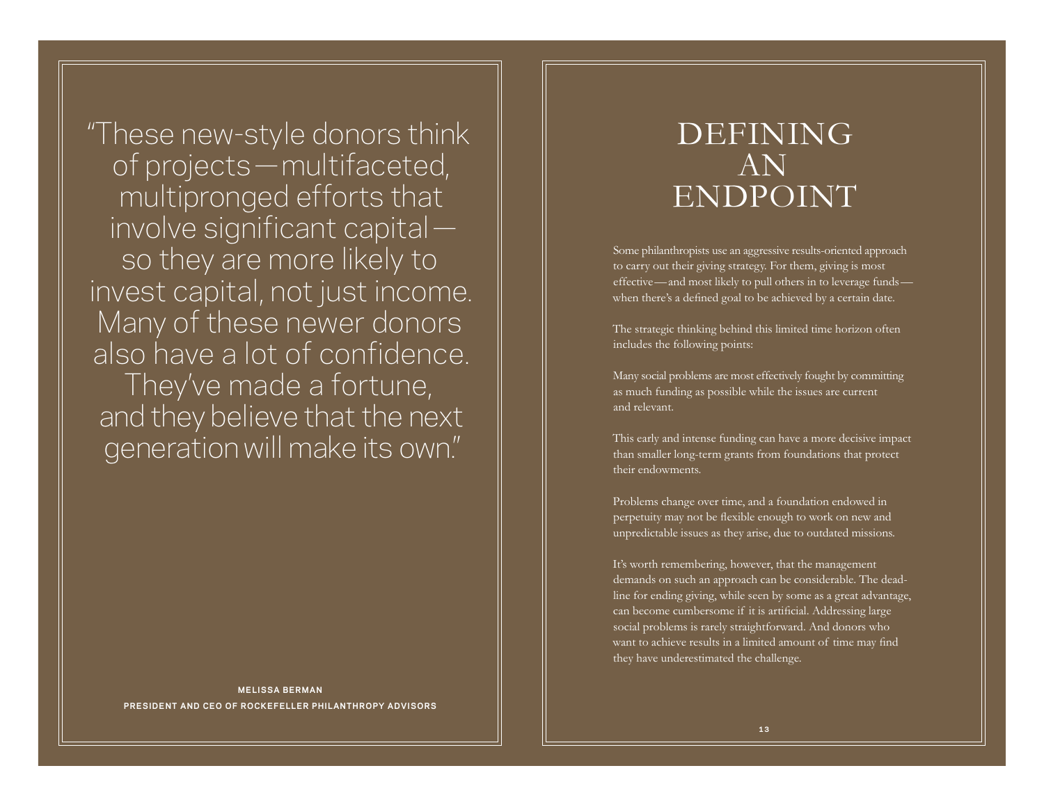"These new-style donors think of projects—multifaceted, multipronged efforts that involve significant capital so they are more likely to invest capital, not just income. Many of these newer donors also have a lot of confidence. They've made a fortune, and they believe that the next generation will make its own."

## **MELISSA BERMAN PRESIDENT AND CEO OF ROCKEFELLER PHILANTHROPY ADVISORS**

## DEFINING AN ENDPOINT

Some philanthropists use an aggressive results-oriented approach to carry out their giving strategy. For them, giving is most effective—and most likely to pull others in to leverage funds when there's a defined goal to be achieved by a certain date.

The strategic thinking behind this limited time horizon often includes the following points:

Many social problems are most effectively fought by committing as much funding as possible while the issues are current and relevant.

This early and intense funding can have a more decisive impact than smaller long-term grants from foundations that protect their endowments.

Problems change over time, and a foundation endowed in perpetuity may not be flexible enough to work on new and unpredictable issues as they arise, due to outdated missions.

It's worth remembering, however, that the management demands on such an approach can be considerable. The deadline for ending giving, while seen by some as a great advantage, can become cumbersome if it is artificial. Addressing large social problems is rarely straightforward. And donors who want to achieve results in a limited amount of time may find they have underestimated the challenge.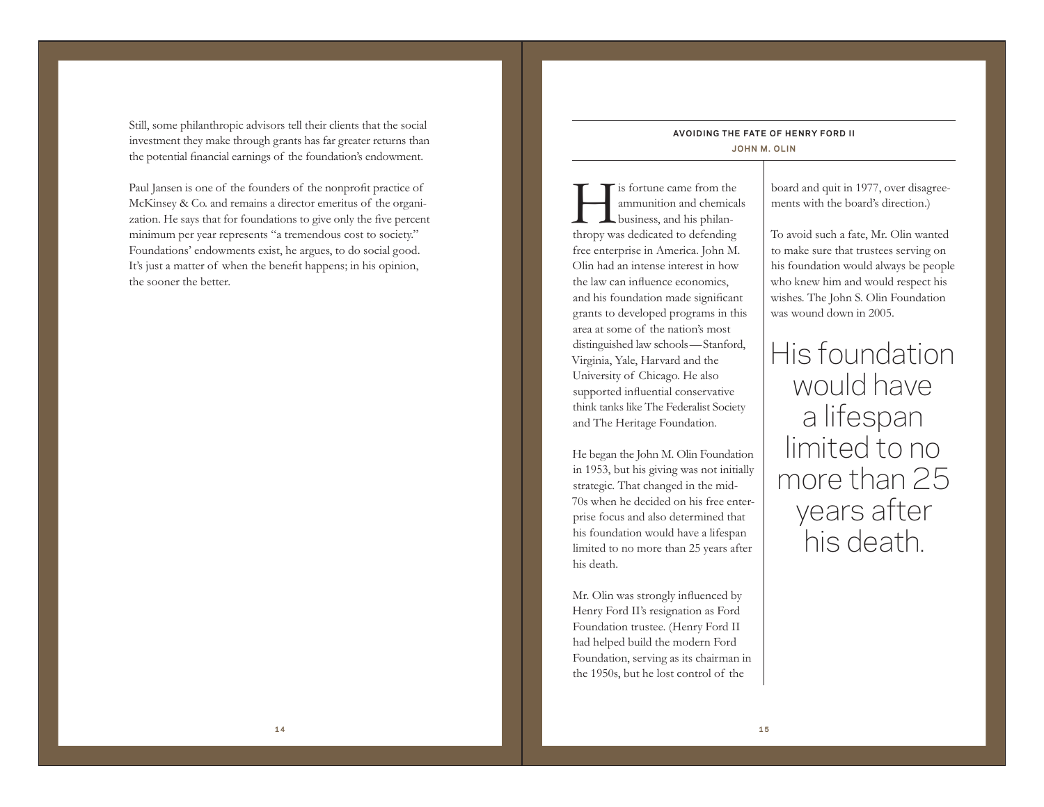Still, some philanthropic advisors tell their clients that the social investment they make through grants has far greater returns than the potential financial earnings of the foundation's endowment.

Paul Jansen is one of the founders of the nonprofit practice of McKinsey & Co. and remains a director emeritus of the organization. He says that for foundations to give only the five percent minimum per year represents "a tremendous cost to society." Foundations' endowments exist, he argues, to do social good. It's just a matter of when the benefit happens; in his opinion, the sooner the better.

## **AVO ID ING THE FATE OF HENRY FORD I I JOHN M. OLIN**

In strate came from the ammunition and chemicals business, and his philanthropy was dedicated to defending free enterprise in America. John M. Olin had an intense interest in how the law can influence economics, and his foundation made significant grants to developed programs in this area at some of the nation's most distinguished law schools—Stanford, Virginia, Yale, Harvard and the University of Chicago. He also supported influential conservative think tanks like The Federalist Society and The Heritage Foundation.

He began the John M. Olin Foundation in 1953, but his giving was not initially strategic. That changed in the mid-70s when he decided on his free enterprise focus and also determined that his foundation would have a lifespan limited to no more than 25 years after his death.

Mr. Olin was strongly influenced by Henry Ford II's resignation as Ford Foundation trustee. (Henry Ford II had helped build the modern Ford Foundation, serving as its chairman in the 1950s, but he lost control of the

board and quit in 1977, over disagreements with the board's direction.)

To avoid such a fate, Mr. Olin wanted to make sure that trustees serving on his foundation would always be people who knew him and would respect his wishes. The John S. Olin Foundation was wound down in 2005.

His foundation would have a lifespan limited to no more than 25 years after his death.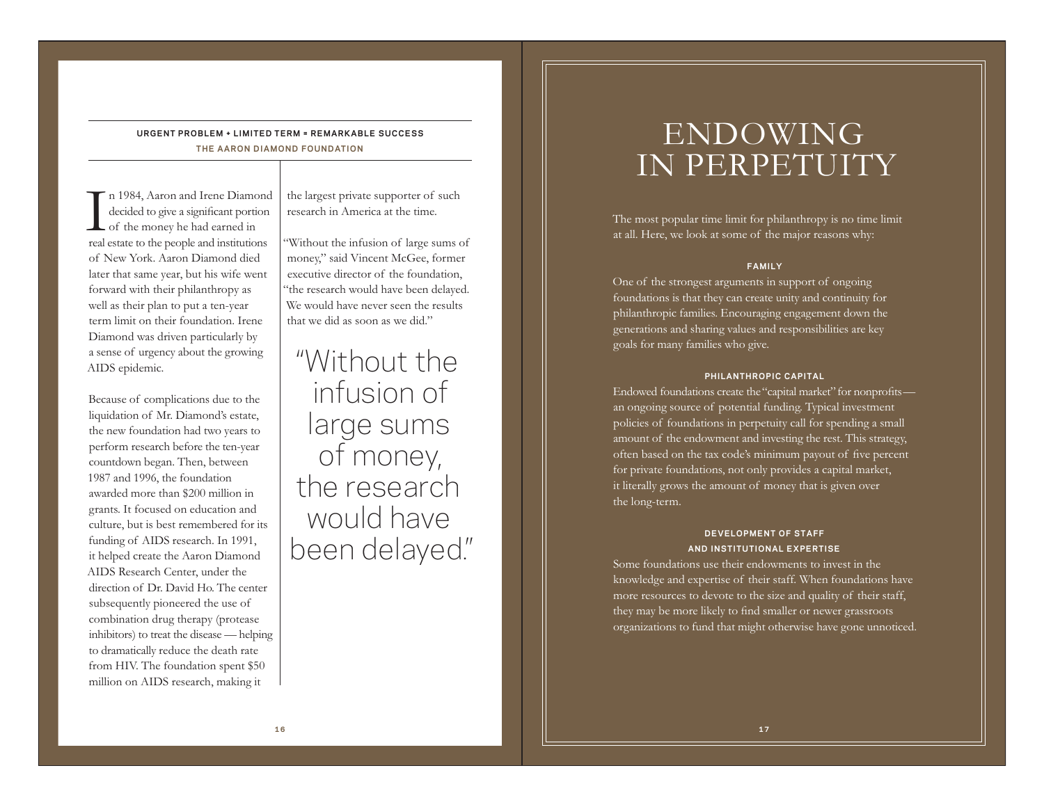## **URGENT PROBLEM + LIMITED TERM = REMARKABLE SUCCESS THE AARON DIAMOND FOUNDATION**

 $\tau$  n 1984, Aaron and Irene Diamond<br>decided to give a significant portion<br> $\zeta$  of the money he had earned in real estate to the people and institutions of New York. Aaron Diamond died later that same year, but his wife went forward with their philanthropy as well as their plan to put a ten-year term limit on their foundation. Irene Diamond was driven particularly by a sense of urgency about the growing AIDS epidemic.

Because of complications due to the liquidation of Mr. Diamond's estate, the new foundation had two years to perform research before the ten-year countdown began. Then, between 1987 and 1996, the foundation awarded more than \$200 million in grants. It focused on education and culture, but is best remembered for its funding of AIDS research. In 1991, it helped create the Aaron Diamond AIDS Research Center, under the direction of Dr. David Ho. The center subsequently pioneered the use of combination drug therapy (protease inhibitors) to treat the disease — helping to dramatically reduce the death rate from HIV. The foundation spent \$50 million on AIDS research, making it

the largest private supporter of such research in America at the time.

"Without the infusion of large sums of money," said Vincent McGee, former executive director of the foundation, "the research would have been delayed. We would have never seen the results that we did as soon as we did."

"Without the infusion of large sums of money, the research would have been delayed."

# ENDOWING IN PERPETUITY

The most popular time limit for philanthropy is no time limit at all. Here, we look at some of the major reasons why:

#### **FAMILY**

One of the strongest arguments in support of ongoing foundations is that they can create unity and continuity for philanthropic families. Encouraging engagement down the generations and sharing values and responsibilities are key goals for many families who give.

#### **PHILANTHROPIC CAPITAL**

Endowed foundations create the "capital market" for nonprofits an ongoing source of potential funding. Typical investment policies of foundations in perpetuity call for spending a small amount of the endowment and investing the rest. This strategy, often based on the tax code's minimum payout of five percent for private foundations, not only provides a capital market, it literally grows the amount of money that is given over the long-term.

## **DEVELOPMENT OF STAFF AND INSTITUTIONAL EXPERTISE**

Some foundations use their endowments to invest in the knowledge and expertise of their staff. When foundations have more resources to devote to the size and quality of their staff, they may be more likely to find smaller or newer grassroots organizations to fund that might otherwise have gone unnoticed.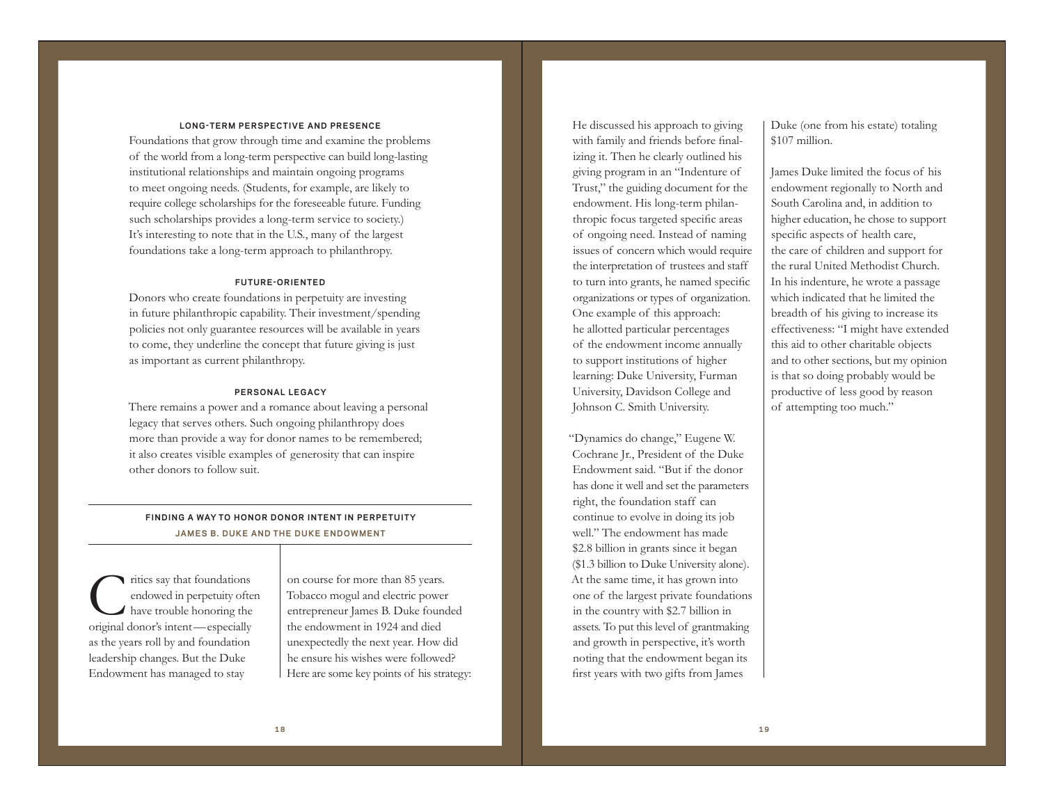### **LONG-TERM PERSPECTIVE AND PRESENCE**

Foundations that grow through time and examine the problems of the world from a long-term perspective can build long-lasting institutional relationships and maintain ongoing programs to meet ongoing needs. (Students, for example, are likely to require college scholarships for the foreseeable future. Funding such scholarships provides a long-term service to society.) It's interesting to note that in the U.S., many of the largest foundations take a long-term approach to philanthropy.

### **FUTURE-ORIENTED**

Donors who create foundations in perpetuity are investing in future philanthropic capability. Their investment/spending policies not only guarantee resources will be available in years to come, they underline the concept that future giving is just as important as current philanthropy.

### **PERSONAL LEGACY**

There remains a power and a romance about leaving a personal legacy that serves others. Such ongoing philanthropy does more than provide a way for donor names to be remembered; it also creates visible examples of generosity that can inspire other donors to follow suit.

## **FINDING A WAY TO HONOR DONOR INTENT IN PERPETUITY JAMES B. DUKE AND THE DUKE ENDOWMENT**

Critics say that foundations endowed in perpetuity often have trouble honoring the original donor's intent—especially as the years roll by and foundation leadership changes. But the Duke Endowment has managed to stay

on course for more than 85 years. Tobacco mogul and electric power entrepreneur James B. Duke founded the endowment in 1924 and died unexpectedly the next year. How did he ensure his wishes were followed? Here are some key points of his strategy:

He discussed his approach to giving with family and friends before finalizing it. Then he clearly outlined his giving program in an "Indenture of Trust," the guiding document for the endowment. His long-term philanthropic focus targeted specific areas of ongoing need. Instead of naming issues of concern which would require the interpretation of trustees and staff to turn into grants, he named specific organizations or types of organization. One example of this approach: he allotted particular percentages of the endowment income annually to support institutions of higher learning: Duke University, Furman University, Davidson College and Johnson C. Smith University.

"Dynamics do change," Eugene W. Cochrane Jr., President of the Duke Endowment said. "But if the donor has done it well and set the parameters right, the foundation staff can continue to evolve in doing its job well." The endowment has made \$2.8 billion in grants since it began (\$1.3 billion to Duke University alone). At the same time, it has grown into one of the largest private foundations in the country with \$2.7 billion in assets. To put this level of grantmaking and growth in perspective, it's worth noting that the endowment began its first years with two gifts from James

Duke (one from his estate) totaling \$107 million.

James Duke limited the focus of his endowment regionally to North and South Carolina and, in addition to higher education, he chose to support specific aspects of health care, the care of children and support for the rural United Methodist Church. In his indenture, he wrote a passage which indicated that he limited the breadth of his giving to increase its effectiveness: "I might have extended this aid to other charitable objects and to other sections, but my opinion is that so doing probably would be productive of less good by reason of attempting too much."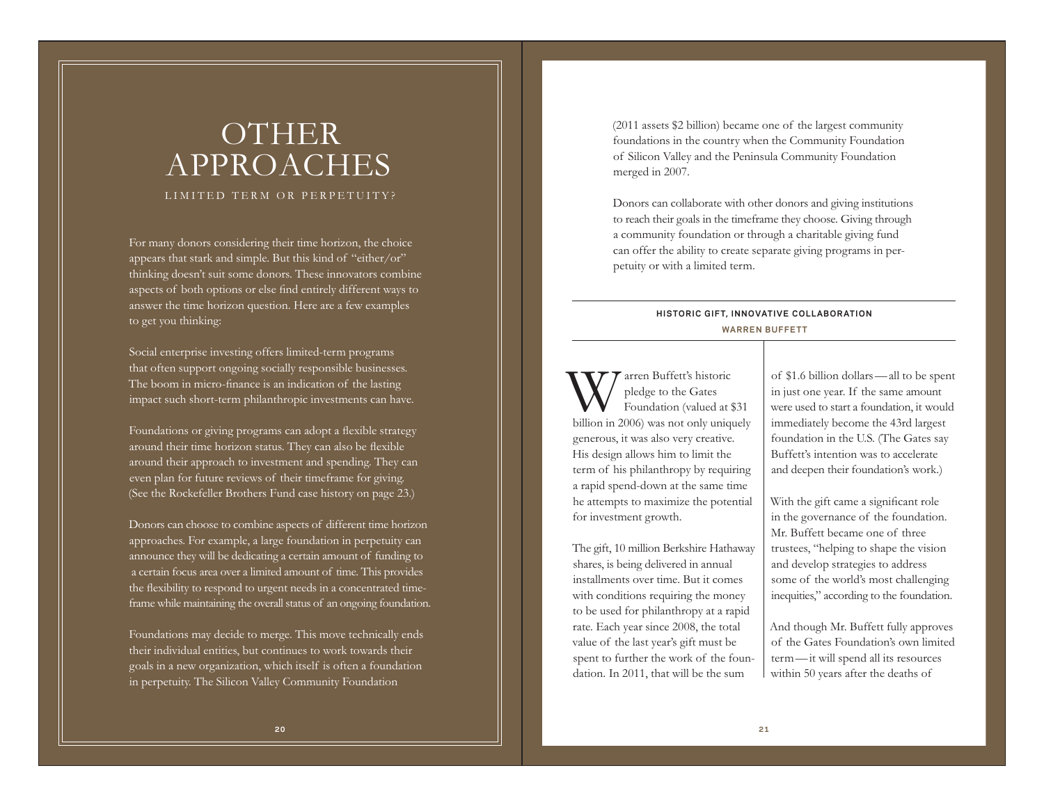# OTHER APPROACHES

LIMITED TERM OR PERPETUITY?

For many donors considering their time horizon, the choice appears that stark and simple. But this kind of "either/or" thinking doesn't suit some donors. These innovators combine aspects of both options or else find entirely different ways to answer the time horizon question. Here are a few examples to get you thinking:

Social enterprise investing offers limited-term programs that often support ongoing socially responsible businesses. The boom in micro-finance is an indication of the lasting impact such short-term philanthropic investments can have.

Foundations or giving programs can adopt a flexible strategy around their time horizon status. They can also be flexible around their approach to investment and spending. They can even plan for future reviews of their timeframe for giving. (See the Rockefeller Brothers Fund case history on page 23.)

Donors can choose to combine aspects of different time horizon approaches. For example, a large foundation in perpetuity can announce they will be dedicating a certain amount of funding to a certain focus area over a limited amount of time. This provides the flexibility to respond to urgent needs in a concentrated timeframe while maintaining the overall status of an ongoing foundation.

Foundations may decide to merge. This move technically ends their individual entities, but continues to work towards their goals in a new organization, which itself is often a foundation in perpetuity. The Silicon Valley Community Foundation

(2011 assets \$2 billion) became one of the largest community foundations in the country when the Community Foundation of Silicon Valley and the Peninsula Community Foundation merged in 2007.

Donors can collaborate with other donors and giving institutions to reach their goals in the timeframe they choose. Giving through a community foundation or through a charitable giving fund can offer the ability to create separate giving programs in perpetuity or with a limited term.

## **HISTORIC GIFT, INNOVATIVE COLLABORATION WARREN BUFFETT**

Warren Buffett's historic pledge to the Gates Foundation (valued at \$31 billion in 2006) was not only uniquely generous, it was also very creative. His design allows him to limit the term of his philanthropy by requiring a rapid spend-down at the same time he attempts to maximize the potential for investment growth.

The gift, 10 million Berkshire Hathaway shares, is being delivered in annual installments over time. But it comes with conditions requiring the money to be used for philanthropy at a rapid rate. Each year since 2008, the total value of the last year's gift must be spent to further the work of the foundation. In 2011, that will be the sum

of \$1.6 billion dollars —all to be spent in just one year. If the same amount were used to start a foundation, it would immediately become the 43rd largest foundation in the U.S. (The Gates say Buffett's intention was to accelerate and deepen their foundation's work.)

With the gift came a significant role in the governance of the foundation. Mr. Buffett became one of three trustees, "helping to shape the vision and develop strategies to address some of the world's most challenging inequities," according to the foundation.

And though Mr. Buffett fully approves of the Gates Foundation's own limited term —it will spend all its resources within 50 years after the deaths of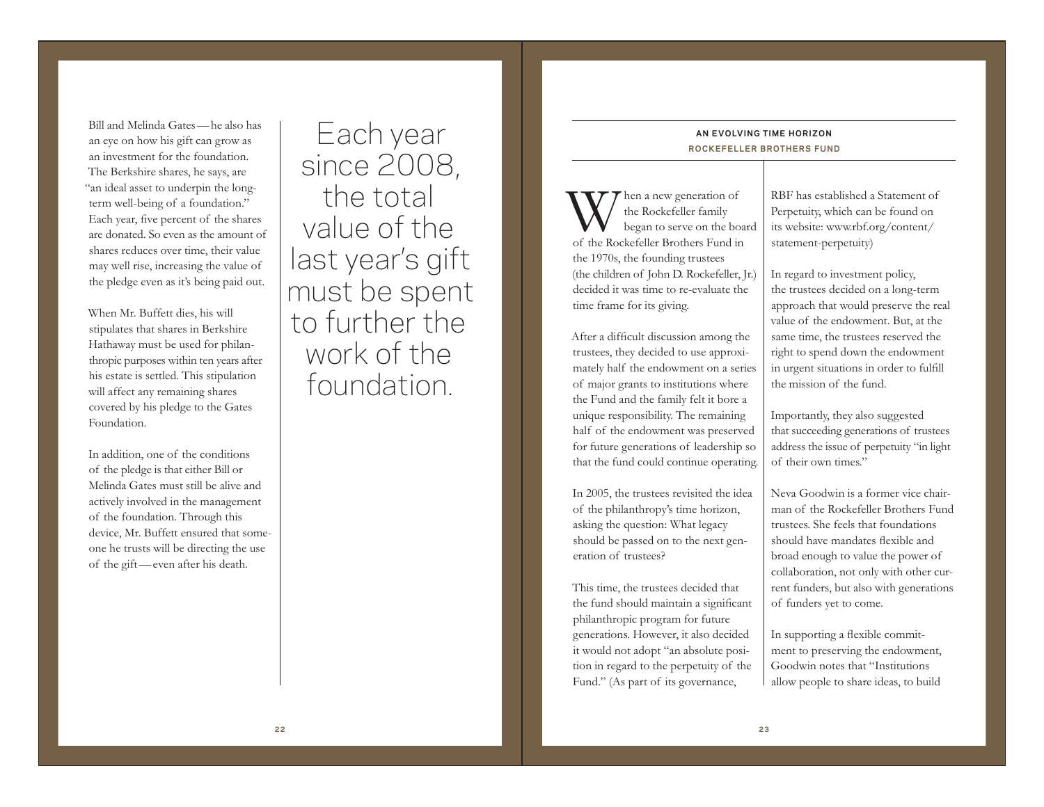Bill and Melinda Gates—he also has an eye on how his gift can grow as an investment for the foundation. The Berkshire shares, he says, are "an ideal asset to underpin the longterm well-being of a foundation." Each year, five percent of the shares are donated. So even as the amount of shares reduces over time, their value may well rise, increasing the value of the pledge even as it's being paid out.

When Mr. Buffett dies, his will stipulates that shares in Berkshire Hathaway must be used for philanthropic purposes within ten years after his estate is settled. This stipulation will affect any remaining shares covered by his pledge to the Gates Foundation.

In addition, one of the conditions of the pledge is that either Bill or Melinda Gates must still be alive and actively involved in the management of the foundation. Through this device, Mr. Buffett ensured that someone he trusts will be directing the use of the gift—even after his death.

Each year since 2008, the total value of the last year's gift must be spent to further the work of the foundation.

## **AN EVOLVING TIME HORIZON ROCKEFELLER BROTHERS FUND**

When a new generation of the Rockefeller family began to serve on the board of the Rockefeller Brothers Fund in the 1970s, the founding trustees (the children of John D. Rockefeller, Jr.) decided it was time to re-evaluate the time frame for its giving.

After a difficult discussion among the trustees, they decided to use approximately half the endowment on a series of major grants to institutions where the Fund and the family felt it bore a unique responsibility. The remaining half of the endowment was preserved for future generations of leadership so that the fund could continue operating.

In 2005, the trustees revisited the idea of the philanthropy's time horizon, asking the question: What legacy should be passed on to the next generation of trustees?

This time, the trustees decided that the fund should maintain a significant philanthropic program for future generations. However, it also decided it would not adopt "an absolute position in regard to the perpetuity of the Fund." (As part of its governance,

RBF has established a Statement of Perpetuity, which can be found on its website: www.rbf.org/content/ statement-perpetuity)

In regard to investment policy, the trustees decided on a long-term approach that would preserve the real value of the endowment. But, at the same time, the trustees reserved the right to spend down the endowment in urgent situations in order to fulfill the mission of the fund.

Importantly, they also suggested that succeeding generations of trustees address the issue of perpetuity "in light of their own times."

Neva Goodwin is a former vice chairman of the Rockefeller Brothers Fund trustees. She feels that foundations should have mandates flexible and broad enough to value the power of collaboration, not only with other current funders, but also with generations of funders yet to come.

In supporting a flexible commitment to preserving the endowment, Goodwin notes that "Institutions allow people to share ideas, to build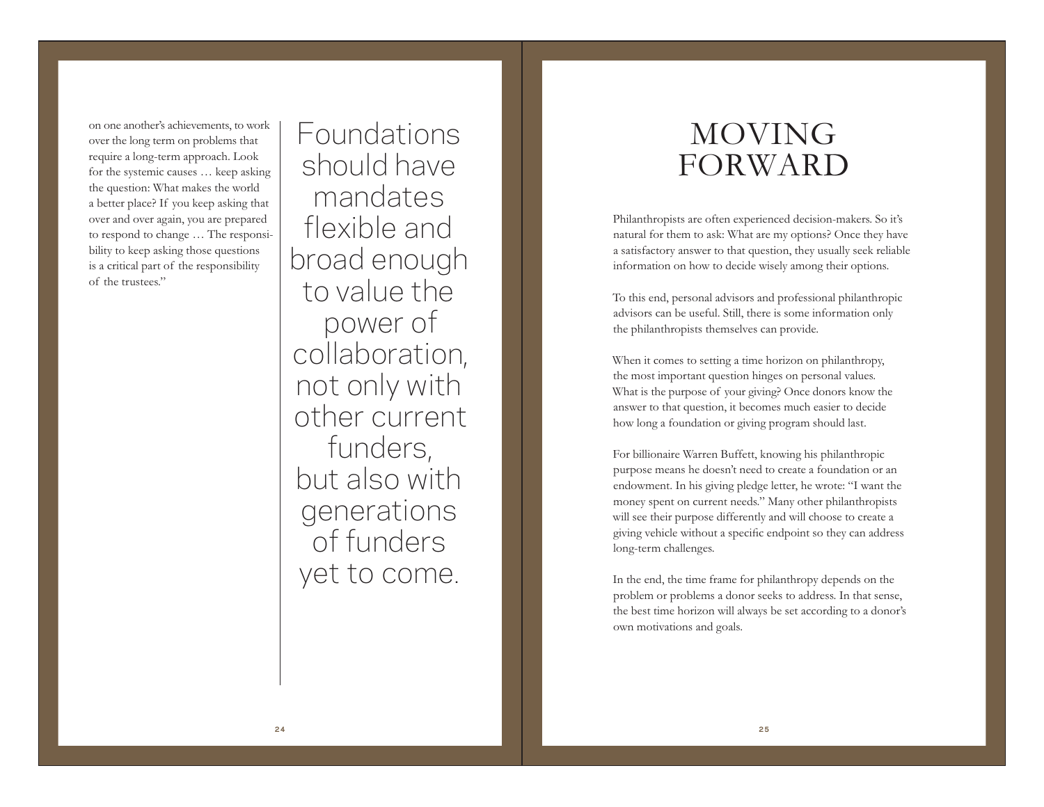on one another's achievements, to work over the long term on problems that require a long-term approach. Look for the systemic causes … keep asking the question: What makes the world a better place? If you keep asking that over and over again, you are prepared to respond to change … The responsibility to keep asking those questions is a critical part of the responsibility of the trustees."

Foundations should have mandates flexible and broad enough to value the power of collaboration, not only with other current funders, but also with generations of funders yet to come.

# MOVING FORWARD

Philanthropists are often experienced decision-makers. So it's natural for them to ask: What are my options? Once they have a satisfactory answer to that question, they usually seek reliable information on how to decide wisely among their options.

To this end, personal advisors and professional philanthropic advisors can be useful. Still, there is some information only the philanthropists themselves can provide.

When it comes to setting a time horizon on philanthropy, the most important question hinges on personal values. What is the purpose of your giving? Once donors know the answer to that question, it becomes much easier to decide how long a foundation or giving program should last.

For billionaire Warren Buffett, knowing his philanthropic purpose means he doesn't need to create a foundation or an endowment. In his giving pledge letter, he wrote: "I want the money spent on current needs." Many other philanthropists will see their purpose differently and will choose to create a giving vehicle without a specific endpoint so they can address long-term challenges.

In the end, the time frame for philanthropy depends on the problem or problems a donor seeks to address. In that sense, the best time horizon will always be set according to a donor's own motivations and goals.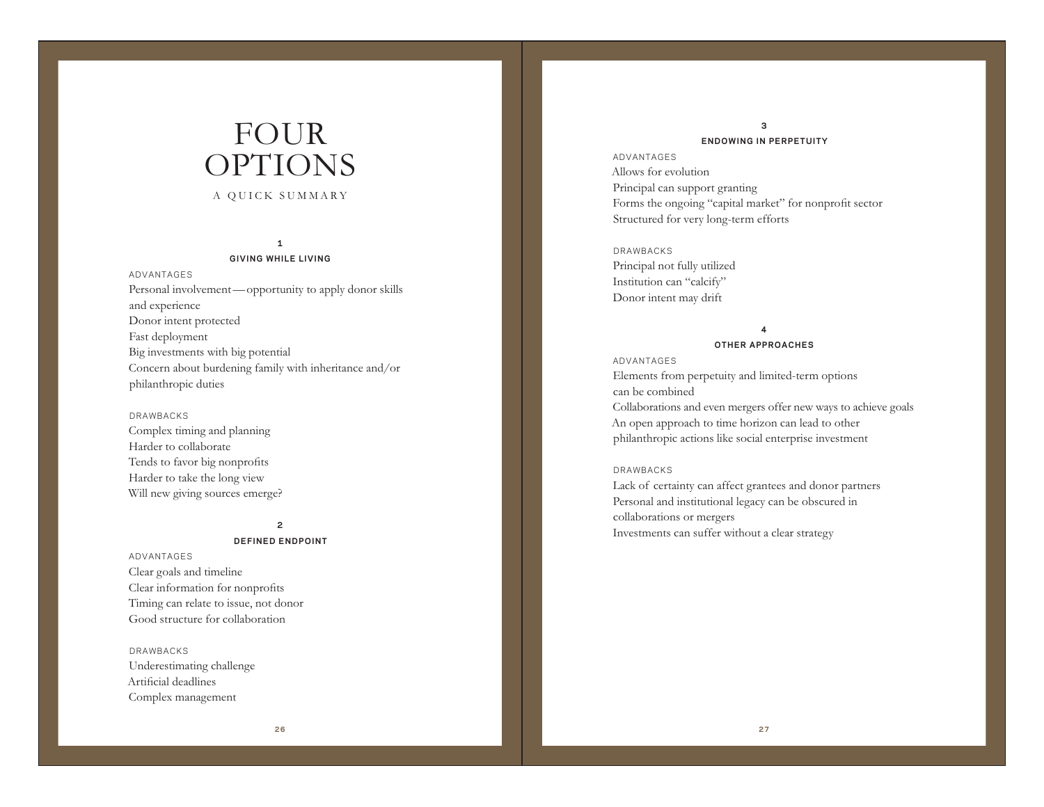# FOUR OPTIONS

## A QUICK SUMMARY

### **1**

#### **GIVING WHILE LIVING**

ADVANTAGES Personal involvement—opportunity to apply donor skills and experience Donor intent protected Fast deployment Big investments with big potential Concern about burdening family with inheritance and/or philanthropic duties

### DRAWBACKS

Complex timing and planning Harder to collaborate Tends to favor big nonprofits Harder to take the long view Will new giving sources emerge?

### **2**

#### **DEFINED ENDPOINT**

ADVANTAGES Clear goals and timeline Clear information for nonprofits Timing can relate to issue, not donor Good structure for collaboration

DRAWBACKS Underestimating challenge Artificial deadlines Complex management

## **3 ENDOWING IN PERPETUITY**

ADVANTAGES Allows for evolution Principal can support granting Forms the ongoing "capital market" for nonprofit sector Structured for very long-term efforts

DRAWBACKS Principal not fully utilized Institution can "calcify" Donor intent may drift

## **4**

#### **OTHER APPROACHES**

#### ADVANTAGES

Elements from perpetuity and limited-term options can be combined Collaborations and even mergers offer new ways to achieve goals An open approach to time horizon can lead to other philanthropic actions like social enterprise investment

### DRAWBACKS

Lack of certainty can affect grantees and donor partners Personal and institutional legacy can be obscured in collaborations or mergers Investments can suffer without a clear strategy